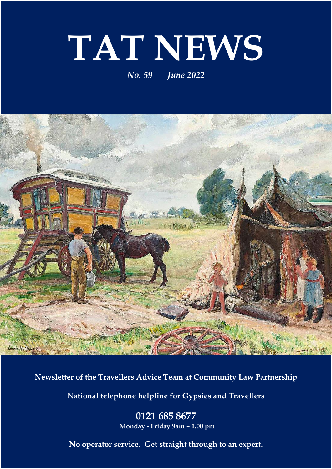# **TAT NEWS**

#### *No. 59 June 2022*



**Newsletter of the Travellers Advice Team at Community Law Partnership**

**National telephone helpline for Gypsies and Travellers**

**0121 685 8677 Monday - Friday 9am – 1.00 pm**

**No operator service. Get straight through to an expert.**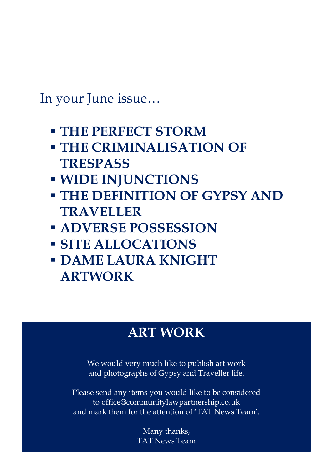In your June issue…

- **THE PERFECT STORM**
- **THE CRIMINALISATION OF TRESPASS**
- **WIDE INJUNCTIONS**
- **THE DEFINITION OF GYPSY AND TRAVELLER**
- **ADVERSE POSSESSION**
- **SITE ALLOCATIONS**
- **DAME LAURA KNIGHT ARTWORK**

## **ART WORK**

We would very much like to publish art work and photographs of Gypsy and Traveller life.

Please send any items you would like to be considered to [office@communitylawpartnership.co.uk](mailto:office@communitylawpartnership.co.uk) and mark them for the attention of 'TAT News Team'.

> Many thanks, TAT News Team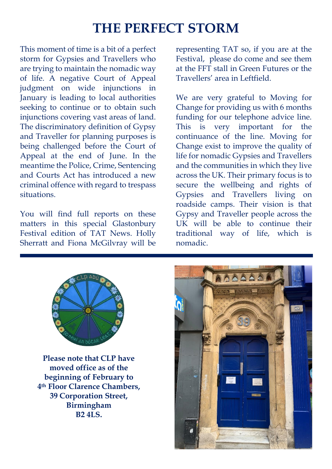# **THE PERFECT STORM**

This moment of time is a bit of a perfect storm for Gypsies and Travellers who are trying to maintain the nomadic way of life. A negative Court of Appeal judgment on wide injunctions in January is leading to local authorities seeking to continue or to obtain such injunctions covering vast areas of land. The discriminatory definition of Gypsy and Traveller for planning purposes is being challenged before the Court of Appeal at the end of June. In the meantime the Police, Crime, Sentencing and Courts Act has introduced a new criminal offence with regard to trespass situations.

You will find full reports on these matters in this special Glastonbury Festival edition of TAT News. Holly Sherratt and Fiona McGilvray will be

representing TAT so, if you are at the Festival, please do come and see them at the FFT stall in Green Futures or the Travellers' area in Leftfield.

We are very grateful to Moving for Change for providing us with 6 months funding for our telephone advice line. This is very important for the continuance of the line. Moving for Change exist to improve the quality of life for nomadic Gypsies and Travellers and the communities in which they live across the UK. Their primary focus is to secure the wellbeing and rights of Gypsies and Travellers living on roadside camps. Their vision is that Gypsy and Traveller people across the UK will be able to continue their traditional way of life, which is nomadic.



**Please note that CLP have moved office as of the beginning of February to 4th Floor Clarence Chambers, 39 Corporation Street, Birmingham B2 4LS.**

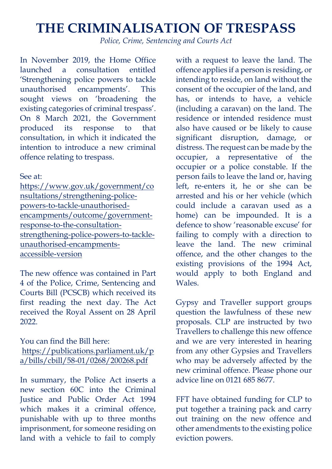## **THE CRIMINALISATION OF TRESPASS**

*Police, Crime, Sentencing and Courts Act*

In November 2019, the Home Office launched a consultation entitled 'Strengthening police powers to tackle unauthorised encampments'. This sought views on 'broadening the existing categories of criminal trespass'. On 8 March 2021, the Government produced its response to that consultation, in which it indicated the intention to introduce a new criminal offence relating to trespass.

See at:

[https://www.gov.uk/government/co](https://www.gov.uk/government/consultations/strengthening-police-powers-to-tackle-unauthorised-encampments/outcome/government-response-to-the-consultation-strengthening-police-powers-to-tackle-unauthorised-encampments-accessible-version) [nsultations/strengthening-police](https://www.gov.uk/government/consultations/strengthening-police-powers-to-tackle-unauthorised-encampments/outcome/government-response-to-the-consultation-strengthening-police-powers-to-tackle-unauthorised-encampments-accessible-version)[powers-to-tackle-unauthorised](https://www.gov.uk/government/consultations/strengthening-police-powers-to-tackle-unauthorised-encampments/outcome/government-response-to-the-consultation-strengthening-police-powers-to-tackle-unauthorised-encampments-accessible-version)[encampments/outcome/government](https://www.gov.uk/government/consultations/strengthening-police-powers-to-tackle-unauthorised-encampments/outcome/government-response-to-the-consultation-strengthening-police-powers-to-tackle-unauthorised-encampments-accessible-version)[response-to-the-consultation](https://www.gov.uk/government/consultations/strengthening-police-powers-to-tackle-unauthorised-encampments/outcome/government-response-to-the-consultation-strengthening-police-powers-to-tackle-unauthorised-encampments-accessible-version)[strengthening-police-powers-to-tackle](https://www.gov.uk/government/consultations/strengthening-police-powers-to-tackle-unauthorised-encampments/outcome/government-response-to-the-consultation-strengthening-police-powers-to-tackle-unauthorised-encampments-accessible-version)[unauthorised-encampments](https://www.gov.uk/government/consultations/strengthening-police-powers-to-tackle-unauthorised-encampments/outcome/government-response-to-the-consultation-strengthening-police-powers-to-tackle-unauthorised-encampments-accessible-version)[accessible-version](https://www.gov.uk/government/consultations/strengthening-police-powers-to-tackle-unauthorised-encampments/outcome/government-response-to-the-consultation-strengthening-police-powers-to-tackle-unauthorised-encampments-accessible-version)

The new offence was contained in Part 4 of the Police, Crime, Sentencing and Courts Bill (PCSCB) which received its first reading the next day. The Act received the Royal Assent on 28 April 2022.

You can find the Bill here: [https://publications.parliament.uk/p](https://publications.parliament.uk/pa/bills/cbill/58-01/0268/200268.pdf) [a/bills/cbill/58-01/0268/200268.pdf](https://publications.parliament.uk/pa/bills/cbill/58-01/0268/200268.pdf)

In summary, the Police Act inserts a new section 60C into the Criminal Justice and Public Order Act 1994 which makes it a criminal offence. punishable with up to three months imprisonment, for someone residing on land with a vehicle to fail to comply

with a request to leave the land. The offence applies if a person is residing, or intending to reside, on land without the consent of the occupier of the land, and has, or intends to have, a vehicle (including a caravan) on the land. The residence or intended residence must also have caused or be likely to cause significant disruption, damage, or distress. The request can be made by the occupier, a representative of the occupier or a police constable. If the person fails to leave the land or, having left, re-enters it, he or she can be arrested and his or her vehicle (which could include a caravan used as a home) can be impounded. It is a defence to show 'reasonable excuse' for failing to comply with a direction to leave the land. The new criminal offence, and the other changes to the existing provisions of the 1994 Act, would apply to both England and Wales.

Gypsy and Traveller support groups question the lawfulness of these new proposals. CLP are instructed by two Travellers to challenge this new offence and we are very interested in hearing from any other Gypsies and Travellers who may be adversely affected by the new criminal offence. Please phone our advice line on 0121 685 8677.

FFT have obtained funding for CLP to put together a training pack and carry out training on the new offence and other amendments to the existing police eviction powers.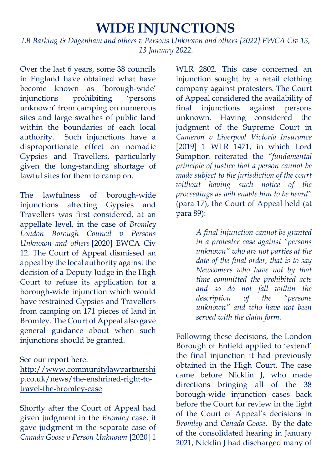#### **WIDE INJUNCTIONS**

*LB Barking & Dagenham and others v Persons Unknown and others [2022] EWCA Civ 13, 13 January 2022.*

Over the last 6 years, some 38 councils in England have obtained what have become known as 'borough-wide' injunctions prohibiting 'persons unknown' from camping on numerous sites and large swathes of public land within the boundaries of each local authority. Such injunctions have a disproportionate effect on nomadic Gypsies and Travellers, particularly given the long-standing shortage of lawful sites for them to camp on.

The lawfulness of borough-wide injunctions affecting Gypsies and Travellers was first considered, at an appellate level, in the case of *Bromley London Borough Council v Persons Unknown and others* [2020] EWCA Civ 12. The Court of Appeal dismissed an appeal by the local authority against the decision of a Deputy Judge in the High Court to refuse its application for a borough-wide injunction which would have restrained Gypsies and Travellers from camping on 171 pieces of land in Bromley. The Court of Appeal also gave general guidance about when such injunctions should be granted.

#### See our report here:

[http://www.communitylawpartnershi](http://www.communitylawpartnership.co.uk/news/the-enshrined-right-to-travel-the-bromley-case) [p.co.uk/news/the-enshrined-right-to](http://www.communitylawpartnership.co.uk/news/the-enshrined-right-to-travel-the-bromley-case)[travel-the-bromley-case](http://www.communitylawpartnership.co.uk/news/the-enshrined-right-to-travel-the-bromley-case)

Shortly after the Court of Appeal had given judgment in the *Bromley* case, it gave judgment in the separate case of *Canada Goose v Person Unknown* [2020] 1

WLR 2802. This case concerned an injunction sought by a retail clothing company against protesters. The Court of Appeal considered the availability of final injunctions against persons unknown. Having considered the judgment of the Supreme Court in *Cameron v Liverpool Victoria Insurance*  [2019] 1 WLR 1471, in which Lord Sumption reiterated the *"fundamental principle of justice that a person cannot be made subject to the jurisdiction of the court without having such notice of the proceedings as will enable him to be heard"* (para 17), the Court of Appeal held (at para 89):

> *A final injunction cannot be granted in a protester case against "persons unknown" who are not parties at the date of the final order, that is to say Newcomers who have not by that time committed the prohibited acts and so do not fall within the description of the "persons unknown" and who have not been served with the claim form.*

Following these decisions, the London Borough of Enfield applied to 'extend' the final injunction it had previously obtained in the High Court. The case came before Nicklin J, who made directions bringing all of the 38 borough-wide injunction cases back before the Court for review in the light of the Court of Appeal's decisions in *Bromley* and *Canada Goose*. By the date of the consolidated hearing in January 2021, Nicklin J had discharged many of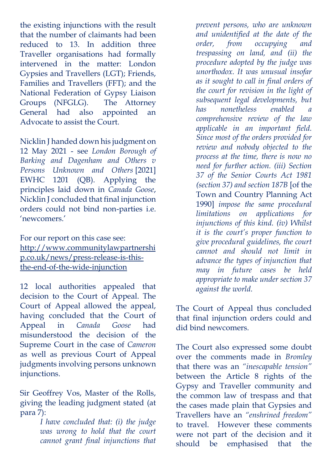the existing injunctions with the result that the number of claimants had been reduced to 13. In addition three Traveller organisations had formally intervened in the matter: London Gypsies and Travellers (LGT); Friends, Families and Travellers (FFT); and the National Federation of Gypsy Liaison Groups (NFGLG). The Attorney General had also appointed an Advocate to assist the Court.

Nicklin J handed down his judgment on 12 May 2021 - see *London Borough of Barking and Dagenham and Others v Persons Unknown and Others* [2021] EWHC 1201 (QB). Applying the principles laid down in *Canada Goose*, Nicklin J concluded that final injunction orders could not bind non-parties i.e. 'newcomers.'

For our report on this case see: [http://www.communitylawpartnershi](http://www.communitylawpartnership.co.uk/news/press-release-is-this-the-end-of-the-wide-injunction) [p.co.uk/news/press-release-is-this](http://www.communitylawpartnership.co.uk/news/press-release-is-this-the-end-of-the-wide-injunction)[the-end-of-the-wide-injunction](http://www.communitylawpartnership.co.uk/news/press-release-is-this-the-end-of-the-wide-injunction)

12 local authorities appealed that decision to the Court of Appeal. The Court of Appeal allowed the appeal, having concluded that the Court of Appeal in *Canada Goose* had misunderstood the decision of the Supreme Court in the case of *Cameron*  as well as previous Court of Appeal judgments involving persons unknown injunctions.

Sir Geoffrey Vos, Master of the Rolls, giving the leading judgment stated (at para 7):

> *I have concluded that: (i) the judge was wrong to hold that the court cannot grant final injunctions that*

*prevent persons, who are unknown and unidentified at the date of the order, from occupying and trespassing on land, and (ii) the procedure adopted by the judge was unorthodox. It was unusual insofar as it sought to call in final orders of the court for revision in the light of subsequent legal developments, but has nonetheless enabled comprehensive review of the law applicable in an important field. Since most of the orders provided for review and nobody objected to the process at the time, there is now no need for further action. (iii) Section 37 of the Senior Courts Act 1981 (section 37) and section 187B* [of the Town and Country Planning Act 1990] *impose the same procedural limitations on applications for injunctions of this kind. (iv) Whilst it is the court's proper function to give procedural guidelines, the court cannot and should not limit in advance the types of injunction that may in future cases be held appropriate to make under section 37 against the world.* 

The Court of Appeal thus concluded that final injunction orders could and did bind newcomers.

The Court also expressed some doubt over the comments made in *Bromley*  that there was an *"inescapable tension"*  between the Article 8 rights of the Gypsy and Traveller community and the common law of trespass and that the cases made plain that Gypsies and Travellers have an *"enshrined freedom"* to travel. However these comments were not part of the decision and it should be emphasised that the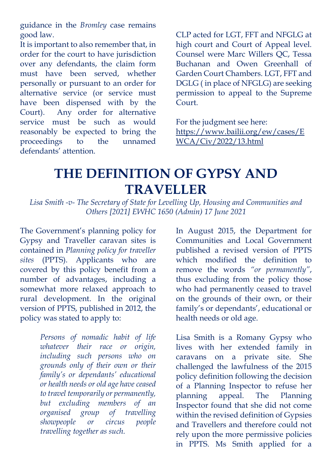guidance in the *Bromley* case remains good law.

It is important to also remember that, in order for the court to have jurisdiction over any defendants, the claim form must have been served, whether personally or pursuant to an order for alternative service (or service must have been dispensed with by the Court). Any order for alternative service must be such as would reasonably be expected to bring the proceedings to the unnamed defendants' attention.

CLP acted for LGT, FFT and NFGLG at high court and Court of Appeal level. Counsel were Marc Willers QC, Tessa Buchanan and Owen Greenhall of Garden Court Chambers. LGT, FFT and DGLG ( in place of NFGLG) are seeking permission to appeal to the Supreme Court.

For the judgment see here: [https://www.bailii.org/ew/cases/E](https://www.bailii.org/ew/cases/EWCA/Civ/2022/13.html) [WCA/Civ/2022/13.html](https://www.bailii.org/ew/cases/EWCA/Civ/2022/13.html)

# **THE DEFINITION OF GYPSY AND TRAVELLER**

*Lisa Smith -v- The Secretary of State for Levelling Up, Housing and Communities and Others [2021] EWHC 1650 (Admin) 17 June 2021*

The Government's planning policy for Gypsy and Traveller caravan sites is contained in *Planning policy for traveller sites* (PPTS). Applicants who are covered by this policy benefit from a number of advantages, including a somewhat more relaxed approach to rural development. In the original version of PPTS, published in 2012, the policy was stated to apply to:

> *Persons of nomadic habit of life whatever their race or origin, including such persons who on grounds only of their own or their family's or dependants' educational or health needs or old age have ceased to travel temporarily or permanently, but excluding members of an organised group of travelling showpeople or circus people travelling together as such.*

In August 2015, the Department for Communities and Local Government published a revised version of PPTS which modified the definition to remove the words *"or permanently"*, thus excluding from the policy those who had permanently ceased to travel on the grounds of their own, or their family's or dependants', educational or health needs or old age.

Lisa Smith is a Romany Gypsy who lives with her extended family in caravans on a private site. She challenged the lawfulness of the 2015 policy definition following the decision of a Planning Inspector to refuse her planning appeal. The Planning Inspector found that she did not come within the revised definition of Gypsies and Travellers and therefore could not rely upon the more permissive policies in PPTS. Ms Smith applied for a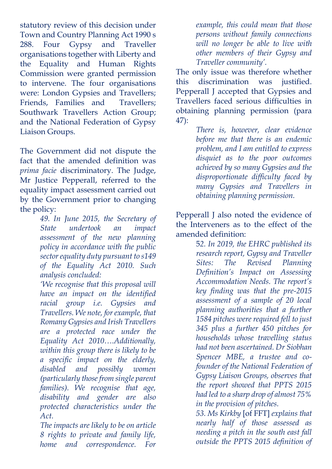statutory review of this decision under Town and Country Planning Act 1990 s 288. Four Gypsy and Traveller organisations together with Liberty and the Equality and Human Rights Commission were granted permission to intervene. The four organisations were: London Gypsies and Travellers; Friends, Families and Travellers; Southwark Travellers Action Group; and the National Federation of Gypsy Liaison Groups.

The Government did not dispute the fact that the amended definition was *prima facie* discriminatory. The Judge, Mr Justice Pepperall, referred to the equality impact assessment carried out by the Government prior to changing the policy:

*49. In June 2015, the Secretary of State undertook an impact assessment of the new planning policy in accordance with the public sector equality duty pursuant to s149 of the Equality Act 2010. Such analysis concluded:*

*'We recognise that this proposal will have an impact on the identified racial group i.e. Gypsies and Travellers. We note, for example, that Romany Gypsies and Irish Travellers are a protected race under the Equality Act 2010….Additionally, within this group there is likely to be a specific impact on the elderly, disabled and possibly women (particularly those from single parent families). We recognise that age, disability and gender are also protected characteristics under the Act.*

*The impacts are likely to be on article 8 rights to private and family life, home and correspondence. For* 

*example, this could mean that those persons without family connections will no longer be able to live with other members of their Gypsy and Traveller community'.*

The only issue was therefore whether this discrimination was justified. Pepperall J accepted that Gypsies and Travellers faced serious difficulties in obtaining planning permission (para 47):

*There is, however, clear evidence before me that there is an endemic problem, and I am entitled to express disquiet as to the poor outcomes achieved by so many Gypsies and the disproportionate difficulty faced by many Gypsies and Travellers in obtaining planning permission.* 

Pepperall J also noted the evidence of the Interveners as to the effect of the amended definition:

> 5*2. In 2019, the EHRC published its research report, Gypsy and Traveller Sites: The Revised Planning Definition's Impact on Assessing Accommodation Needs. The report's key finding was that the pre-2015 assessment of a sample of 20 local planning authorities that a further 1584 pitches were required fell to just 345 plus a further 450 pitches for households whose travelling status had not been ascertained. Dr Siobhan Spencer MBE, a trustee and cofounder of the National Federation of Gypsy Liaison Groups, observes that the report showed that PPTS 2015 had led to a sharp drop of almost 75% in the provision of pitches.*

*53. Ms Kirkby* [of FFT] *explains that nearly half of those assessed as needing a pitch in the south east fall outside the PPTS 2015 definition of*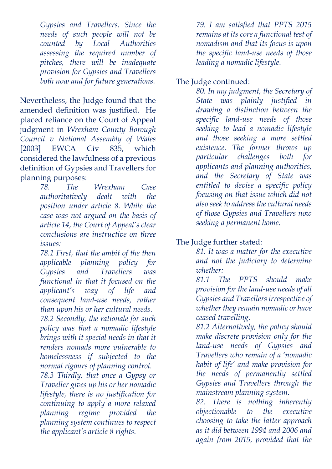*Gypsies and Travellers. Since the needs of such people will not be counted by Local Authorities assessing the required number of pitches, there will be inadequate provision for Gypsies and Travellers both now and for future generations.*

Nevertheless, the Judge found that the amended definition was justified. He placed reliance on the Court of Appeal judgment in *Wrexham County Borough Council v National Assembly of Wales*  [2003] EWCA Civ 835, which considered the lawfulness of a previous definition of Gypsies and Travellers for planning purposes:

> *78. The Wrexham Case authoritatively dealt with the position under article 8. While the case was not argued on the basis of article 14, the Court of Appeal's clear conclusions are instructive on three issues:*

> *78.1 First, that the ambit of the then applicable planning policy for Gypsies and Travellers was functional in that it focused on the applicant's way of life and consequent land-use needs, rather than upon his or her cultural needs.*

> *78.2 Secondly, the rationale for such policy was that a nomadic lifestyle brings with it special needs in that it renders nomads more vulnerable to homelessness if subjected to the normal rigours of planning control.*

> *78.3 Thirdly, that once a Gypsy or Traveller gives up his or her nomadic lifestyle, there is no justification for continuing to apply a more relaxed planning regime provided the planning system continues to respect the applicant's article 8 rights.*

*79. I am satisfied that PPTS 2015 remains at its core a functional test of nomadism and that its focus is upon the specific land-use needs of those leading a nomadic lifestyle.*

The Judge continued:

*80. In my judgment, the Secretary of State was plainly justified in drawing a distinction between the specific land-use needs of those seeking to lead a nomadic lifestyle and those seeking a more settled existence. The former throws up particular challenges both for applicants and planning authorities, and the Secretary of State was entitled to devise a specific policy focusing on that issue which did not also seek to address the cultural needs of those Gypsies and Travellers now seeking a permanent home.*

#### The Judge further stated:

*81. It was a matter for the executive and not the judiciary to determine whether:*

*81.1 The PPTS should make provision for the land-use needs of all Gypsies and Travellers irrespective of whether they remain nomadic or have ceased travelling.*

*81.2 Alternatively, the policy should make discrete provision only for the land-use needs of Gypsies and Travellers who remain of a 'nomadic habit of life' and make provision for the needs of permanently settled Gypsies and Travellers through the mainstream planning system.*

*82. There is nothing inherently objectionable to the executive choosing to take the latter approach as it did between 1994 and 2006 and again from 2015, provided that the*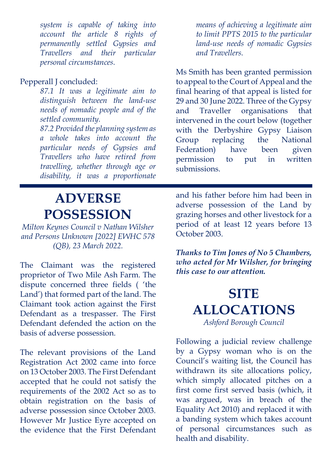*system is capable of taking into account the article 8 rights of permanently settled Gypsies and Travellers and their particular personal circumstances.*

#### Pepperall J concluded:

*87.1 It was a legitimate aim to distinguish between the land-use needs of nomadic people and of the settled community.*

*87.2 Provided the planning system as a whole takes into account the particular needs of Gypsies and Travellers who have retired from travelling, whether through age or disability, it was a proportionate* 

*means of achieving a legitimate aim to limit PPTS 2015 to the particular land-use needs of nomadic Gypsies and Travellers.*

Ms Smith has been granted permission to appeal to the Court of Appeal and the final hearing of that appeal is listed for 29 and 30 June 2022. Three of the Gypsy and Traveller organisations that intervened in the court below (together with the Derbyshire Gypsy Liaison Group replacing the National Federation) have been given permission to put in written submissions.

## **ADVERSE POSSESSION**

*Milton Keynes Council v Nathan Wilsher and Persons Unknown [2022] EWHC 578 (QB), 23 March 2022.*

The Claimant was the registered proprietor of Two Mile Ash Farm. The dispute concerned three fields ( 'the Land') that formed part of the land. The Claimant took action against the First Defendant as a trespasser. The First Defendant defended the action on the basis of adverse possession.

The relevant provisions of the Land Registration Act 2002 came into force on 13 October 2003. The First Defendant accepted that he could not satisfy the requirements of the 2002 Act so as to obtain registration on the basis of adverse possession since October 2003. However Mr Justice Eyre accepted on the evidence that the First Defendant

and his father before him had been in adverse possession of the Land by grazing horses and other livestock for a period of at least 12 years before 13 October 2003.

*Thanks to Tim Jones of No 5 Chambers, who acted for Mr Wilsher, for bringing this case to our attention.*

#### **SITE ALLOCATIONS** *Ashford Borough Council*

Following a judicial review challenge by a Gypsy woman who is on the Council's waiting list, the Council has withdrawn its site allocations policy, which simply allocated pitches on a first come first served basis (which, it was argued, was in breach of the Equality Act 2010) and replaced it with a banding system which takes account of personal circumstances such as health and disability.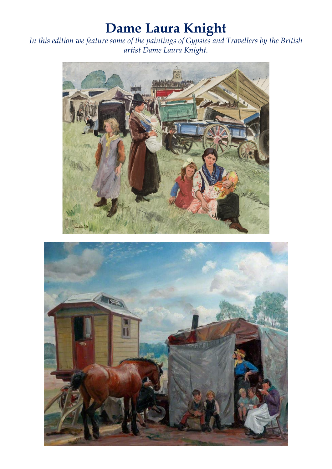# **Dame Laura Knight**

*In this edition we feature some of the paintings of Gypsies and Travellers by the British artist Dame Laura Knight.*